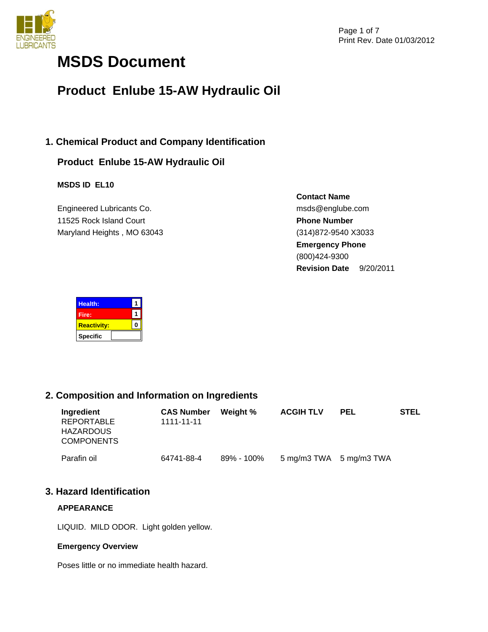

# **MSDS Document**

## **Product Enlube 15-AW Hydraulic Oil**

## **1. Chemical Product and Company Identification**

## **Product Enlube 15-AW Hydraulic Oil**

## **MSDS ID EL10**

Engineered Lubricants Co. 11525 Rock Island Court Maryland Heights , MO 63043 **Contact Name** msds@englube.com **Phone Number** (314)872-9540 X3033 **Emergency Phone** (800)424-9300 **Revision Date** 9/20/2011

| Health:            |  |
|--------------------|--|
| Fire:              |  |
| <b>Reactivity:</b> |  |
| <b>Specific</b>    |  |

## **2. Composition and Information on Ingredients**

| Ingredient<br>REPORTABLE<br><b>HAZARDOUS</b><br><b>COMPONENTS</b> | <b>CAS Number</b><br>1111-11-11 | Weight %   | <b>ACGIH TLV</b>        | <b>PEL</b> | <b>STEL</b> |
|-------------------------------------------------------------------|---------------------------------|------------|-------------------------|------------|-------------|
| Parafin oil                                                       | 64741-88-4                      | 89% - 100% | 5 mg/m3 TWA 5 mg/m3 TWA |            |             |

## **3. Hazard Identification**

#### **APPEARANCE**

LIQUID. MILD ODOR. Light golden yellow.

#### **Emergency Overview**

Poses little or no immediate health hazard.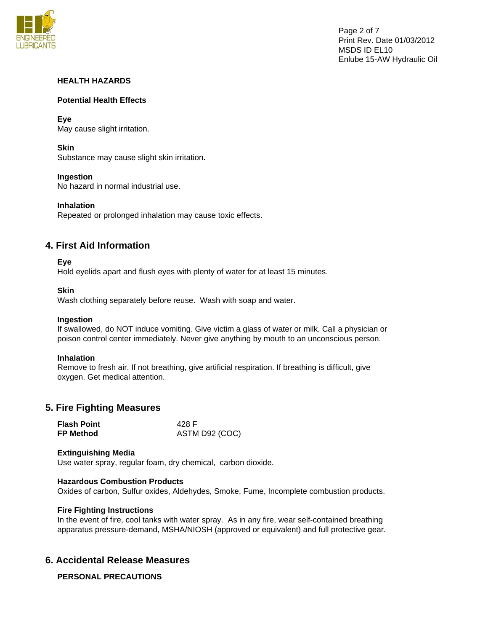

#### **HEALTH HAZARDS**

#### **Potential Health Effects**

**Eye**  May cause slight irritation.

**Skin** 

Substance may cause slight skin irritation.

**Ingestion** 

No hazard in normal industrial use.

**Inhalation** 

Repeated or prolonged inhalation may cause toxic effects.

## **4. First Aid Information**

#### **Eye**

Hold eyelids apart and flush eyes with plenty of water for at least 15 minutes.

#### **Skin**

Wash clothing separately before reuse. Wash with soap and water.

#### **Ingestion**

If swallowed, do NOT induce vomiting. Give victim a glass of water or milk. Call a physician or poison control center immediately. Never give anything by mouth to an unconscious person.

#### **Inhalation**

Remove to fresh air. If not breathing, give artificial respiration. If breathing is difficult, give oxygen. Get medical attention.

## **5. Fire Fighting Measures**

| <b>Flash Point</b> | 428 F          |
|--------------------|----------------|
| <b>FP Method</b>   | ASTM D92 (COC) |

#### **Extinguishing Media**

Use water spray, regular foam, dry chemical, carbon dioxide.

#### **Hazardous Combustion Products**

Oxides of carbon, Sulfur oxides, Aldehydes, Smoke, Fume, Incomplete combustion products.

#### **Fire Fighting Instructions**

In the event of fire, cool tanks with water spray. As in any fire, wear self-contained breathing apparatus pressure-demand, MSHA/NIOSH (approved or equivalent) and full protective gear.

## **6. Accidental Release Measures**

**PERSONAL PRECAUTIONS**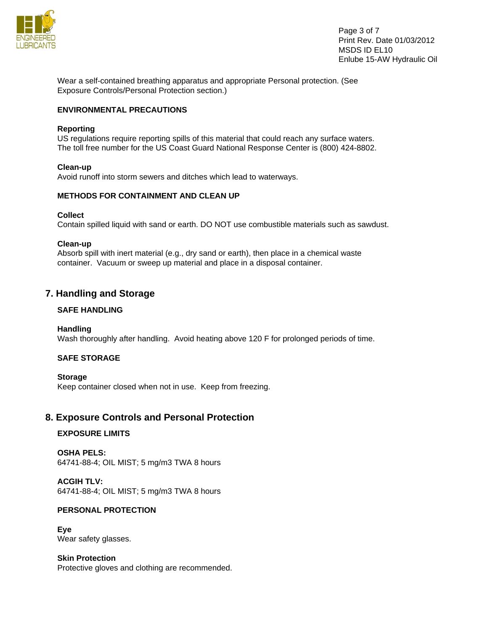

Page 3 of 7 Print Rev. Date 01/03/2012 MSDS ID EL10 Enlube 15-AW Hydraulic Oil

Wear a self-contained breathing apparatus and appropriate Personal protection. (See Exposure Controls/Personal Protection section.)

#### **ENVIRONMENTAL PRECAUTIONS**

#### **Reporting**

US regulations require reporting spills of this material that could reach any surface waters. The toll free number for the US Coast Guard National Response Center is (800) 424-8802.

#### **Clean-up**

Avoid runoff into storm sewers and ditches which lead to waterways.

#### **METHODS FOR CONTAINMENT AND CLEAN UP**

#### **Collect**

Contain spilled liquid with sand or earth. DO NOT use combustible materials such as sawdust.

#### **Clean-up**

Absorb spill with inert material (e.g., dry sand or earth), then place in a chemical waste container. Vacuum or sweep up material and place in a disposal container.

## **7. Handling and Storage**

#### **SAFE HANDLING**

**Handling**  Wash thoroughly after handling. Avoid heating above 120 F for prolonged periods of time.

#### **SAFE STORAGE**

**Storage**  Keep container closed when not in use. Keep from freezing.

## **8. Exposure Controls and Personal Protection**

#### **EXPOSURE LIMITS**

**OSHA PELS:**  64741-88-4; OIL MIST; 5 mg/m3 TWA 8 hours

**ACGIH TLV:**  64741-88-4; OIL MIST; 5 mg/m3 TWA 8 hours

#### **PERSONAL PROTECTION**

**Eye**  Wear safety glasses.

**Skin Protection**  Protective gloves and clothing are recommended.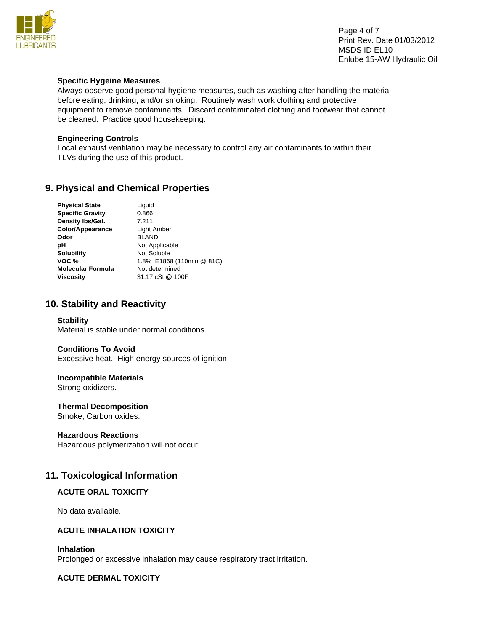

Page 4 of 7 Print Rev. Date 01/03/2012 MSDS ID EL10 Enlube 15-AW Hydraulic Oil

#### **Specific Hygeine Measures**

Always observe good personal hygiene measures, such as washing after handling the material before eating, drinking, and/or smoking. Routinely wash work clothing and protective equipment to remove contaminants. Discard contaminated clothing and footwear that cannot be cleaned. Practice good housekeeping.

#### **Engineering Controls**

Local exhaust ventilation may be necessary to control any air contaminants to within their TLVs during the use of this product.

## **9. Physical and Chemical Properties**

| <b>Physical State</b>    | Liquid                    |
|--------------------------|---------------------------|
| <b>Specific Gravity</b>  | 0.866                     |
| Density Ibs/Gal.         | 7.211                     |
| Color/Appearance         | Light Amber               |
| Odor                     | <b>BLAND</b>              |
| рH                       | Not Applicable            |
| <b>Solubility</b>        | Not Soluble               |
| VOC %                    | 1.8% E1868 (110min @ 81C) |
| <b>Molecular Formula</b> | Not determined            |
| <b>Viscosity</b>         | 31.17 cSt @ 100F          |

## **10. Stability and Reactivity**

#### **Stability**

Material is stable under normal conditions.

#### **Conditions To Avoid**

Excessive heat. High energy sources of ignition

#### **Incompatible Materials**

Strong oxidizers.

#### **Thermal Decomposition**

Smoke, Carbon oxides.

#### **Hazardous Reactions**

Hazardous polymerization will not occur.

## **11. Toxicological Information**

#### **ACUTE ORAL TOXICITY**

No data available.

#### **ACUTE INHALATION TOXICITY**

#### **Inhalation**

Prolonged or excessive inhalation may cause respiratory tract irritation.

#### **ACUTE DERMAL TOXICITY**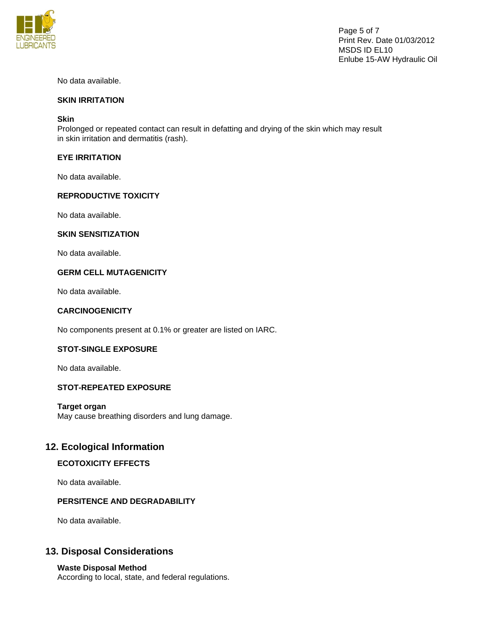

Page 5 of 7 Print Rev. Date 01/03/2012 MSDS ID EL10 Enlube 15-AW Hydraulic Oil

No data available.

#### **SKIN IRRITATION**

#### **Skin**

Prolonged or repeated contact can result in defatting and drying of the skin which may result in skin irritation and dermatitis (rash).

#### **EYE IRRITATION**

No data available.

#### **REPRODUCTIVE TOXICITY**

No data available.

#### **SKIN SENSITIZATION**

No data available.

#### **GERM CELL MUTAGENICITY**

No data available.

#### **CARCINOGENICITY**

No components present at 0.1% or greater are listed on IARC.

#### **STOT-SINGLE EXPOSURE**

No data available.

#### **STOT-REPEATED EXPOSURE**

**Target organ**  May cause breathing disorders and lung damage.

## **12. Ecological Information**

#### **ECOTOXICITY EFFECTS**

No data available.

#### **PERSITENCE AND DEGRADABILITY**

No data available.

## **13. Disposal Considerations**

#### **Waste Disposal Method**

According to local, state, and federal regulations.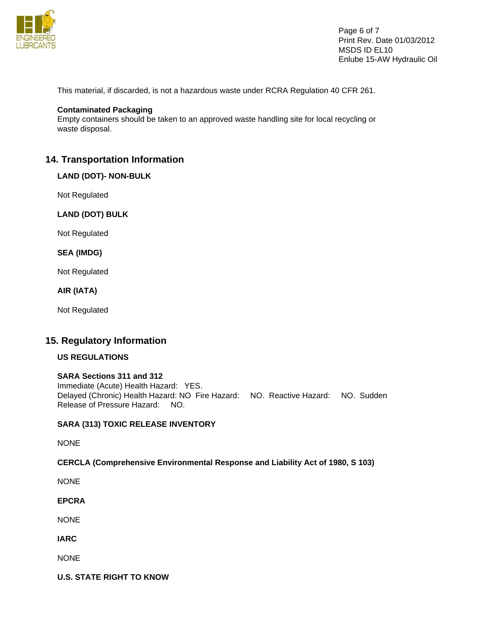

Page 6 of 7 Print Rev. Date 01/03/2012 MSDS ID EL10 Enlube 15-AW Hydraulic Oil

This material, if discarded, is not a hazardous waste under RCRA Regulation 40 CFR 261.

#### **Contaminated Packaging**

Empty containers should be taken to an approved waste handling site for local recycling or waste disposal.

### **14. Transportation Information**

#### **LAND (DOT)- NON-BULK**

Not Regulated

#### **LAND (DOT) BULK**

Not Regulated

#### **SEA (IMDG)**

Not Regulated

**AIR (IATA)** 

Not Regulated

#### **15. Regulatory Information**

#### **US REGULATIONS**

#### **SARA Sections 311 and 312**

Immediate (Acute) Health Hazard: YES. Delayed (Chronic) Health Hazard: NO Fire Hazard: NO. Reactive Hazard: NO. Sudden Release of Pressure Hazard: NO.

#### **SARA (313) TOXIC RELEASE INVENTORY**

NONE

#### **CERCLA (Comprehensive Environmental Response and Liability Act of 1980, S 103)**

NONE

**EPCRA** 

NONE

**IARC** 

NONE

**U.S. STATE RIGHT TO KNOW**